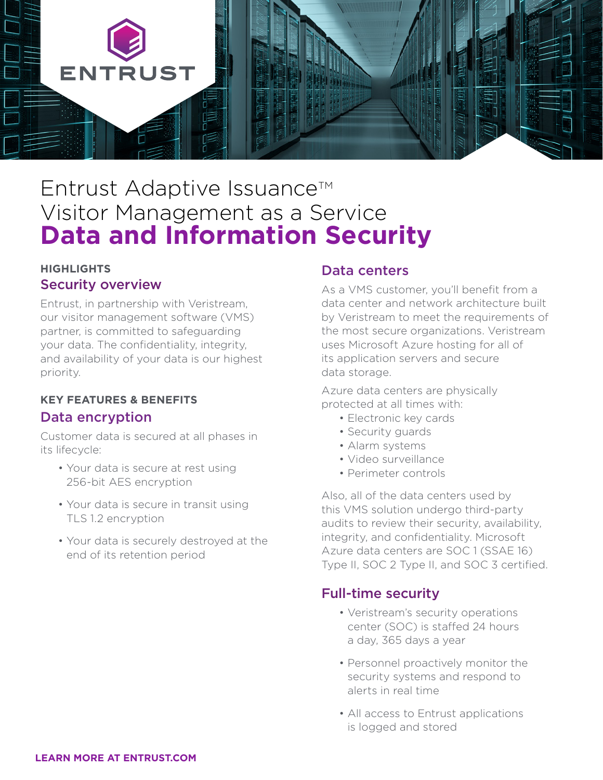

# Entrust Adaptive Issuance<sup>™</sup> Visitor Management as a Service **Data and Information Security**

### **HIGHLIGHTS**  Security overview

Entrust, in partnership with Veristream, our visitor management software (VMS) partner, is committed to safeguarding your data. The confidentiality, integrity, and availability of your data is our highest priority.

#### **KEY FEATURES & BENEFITS**

#### Data encryption

Customer data is secured at all phases in its lifecycle:

- Your data is secure at rest using 256-bit AES encryption
- Your data is secure in transit using TLS 1.2 encryption
- Your data is securely destroyed at the end of its retention period

### Data centers

As a VMS customer, you'll benefit from a data center and network architecture built by Veristream to meet the requirements of the most secure organizations. Veristream uses Microsoft Azure hosting for all of its application servers and secure data storage.

Azure data centers are physically protected at all times with:

- Electronic key cards
- Security guards
- Alarm systems
- Video surveillance
- Perimeter controls

Also, all of the data centers used by this VMS solution undergo third-party audits to review their security, availability, integrity, and confidentiality. Microsoft Azure data centers are SOC 1 (SSAE 16) Type II, SOC 2 Type II, and SOC 3 certified.

### Full-time security

- Veristream's security operations center (SOC) is staffed 24 hours a day, 365 days a year
- Personnel proactively monitor the security systems and respond to alerts in real time
- All access to Entrust applications is logged and stored